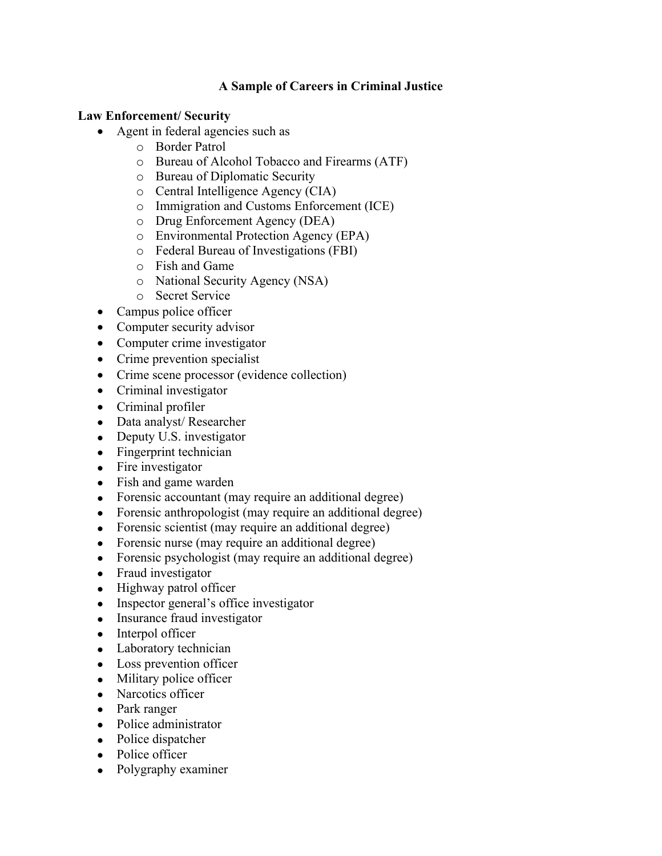## **A Sample of Careers in Criminal Justice**

## **Law Enforcement/ Security**

- Agent in federal agencies such as
	- o Border Patrol
	- o Bureau of Alcohol Tobacco and Firearms (ATF)
	- o Bureau of Diplomatic Security
	- o Central Intelligence Agency (CIA)
	- o Immigration and Customs Enforcement (ICE)
	- o Drug Enforcement Agency (DEA)
	- o Environmental Protection Agency (EPA)
	- o Federal Bureau of Investigations (FBI)
	- o Fish and Game
	- o National Security Agency (NSA)
	- o Secret Service
- Campus police officer
- Computer security advisor
- Computer crime investigator
- Crime prevention specialist
- Crime scene processor (evidence collection)
- Criminal investigator
- Criminal profiler
- Data analyst/ Researcher
- Deputy U.S. investigator
- Fingerprint technician
- Fire investigator
- Fish and game warden
- Forensic accountant (may require an additional degree)
- Forensic anthropologist (may require an additional degree)
- Forensic scientist (may require an additional degree)
- Forensic nurse (may require an additional degree)
- Forensic psychologist (may require an additional degree)
- Fraud investigator
- Highway patrol officer
- Inspector general's office investigator
- Insurance fraud investigator
- Interpol officer
- Laboratory technician
- Loss prevention officer
- Military police officer
- Narcotics officer
- Park ranger
- Police administrator
- Police dispatcher
- Police officer
- Polygraphy examiner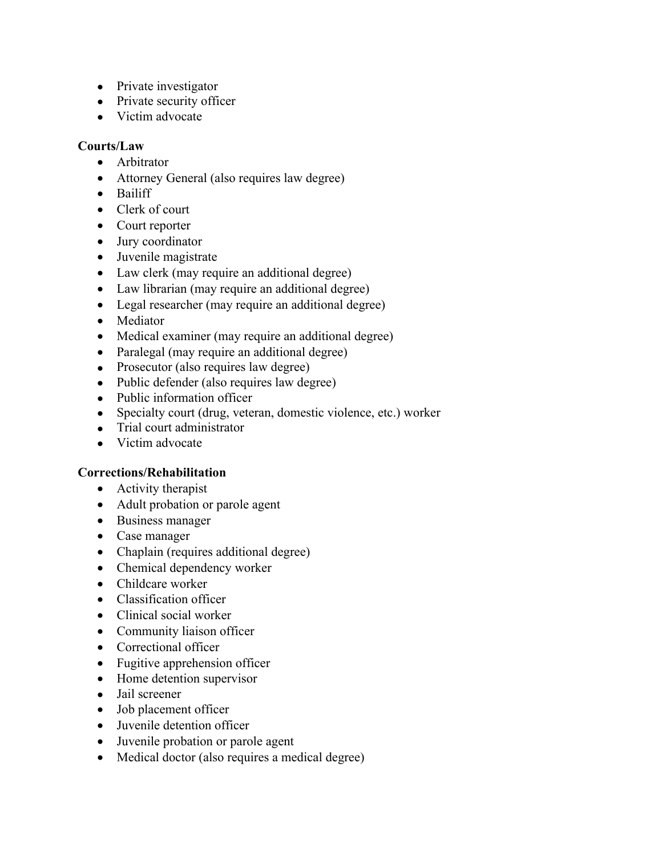- Private investigator
- Private security officer
- Victim advocate

## **Courts/Law**

- Arbitrator
- Attorney General (also requires law degree)
- Bailiff
- Clerk of court
- Court reporter
- Jury coordinator
- Juvenile magistrate
- Law clerk (may require an additional degree)
- Law librarian (may require an additional degree)
- Legal researcher (may require an additional degree)
- Mediator
- Medical examiner (may require an additional degree)
- Paralegal (may require an additional degree)
- Prosecutor (also requires law degree)
- Public defender (also requires law degree)
- Public information officer
- Specialty court (drug, veteran, domestic violence, etc.) worker
- Trial court administrator
- Victim advocate

## **Corrections/Rehabilitation**

- Activity therapist
- Adult probation or parole agent
- Business manager
- Case manager
- Chaplain (requires additional degree)
- Chemical dependency worker
- Childcare worker
- Classification officer
- Clinical social worker
- Community liaison officer
- Correctional officer
- Fugitive apprehension officer
- Home detention supervisor
- Jail screener
- Job placement officer
- Juvenile detention officer
- Juvenile probation or parole agent
- Medical doctor (also requires a medical degree)